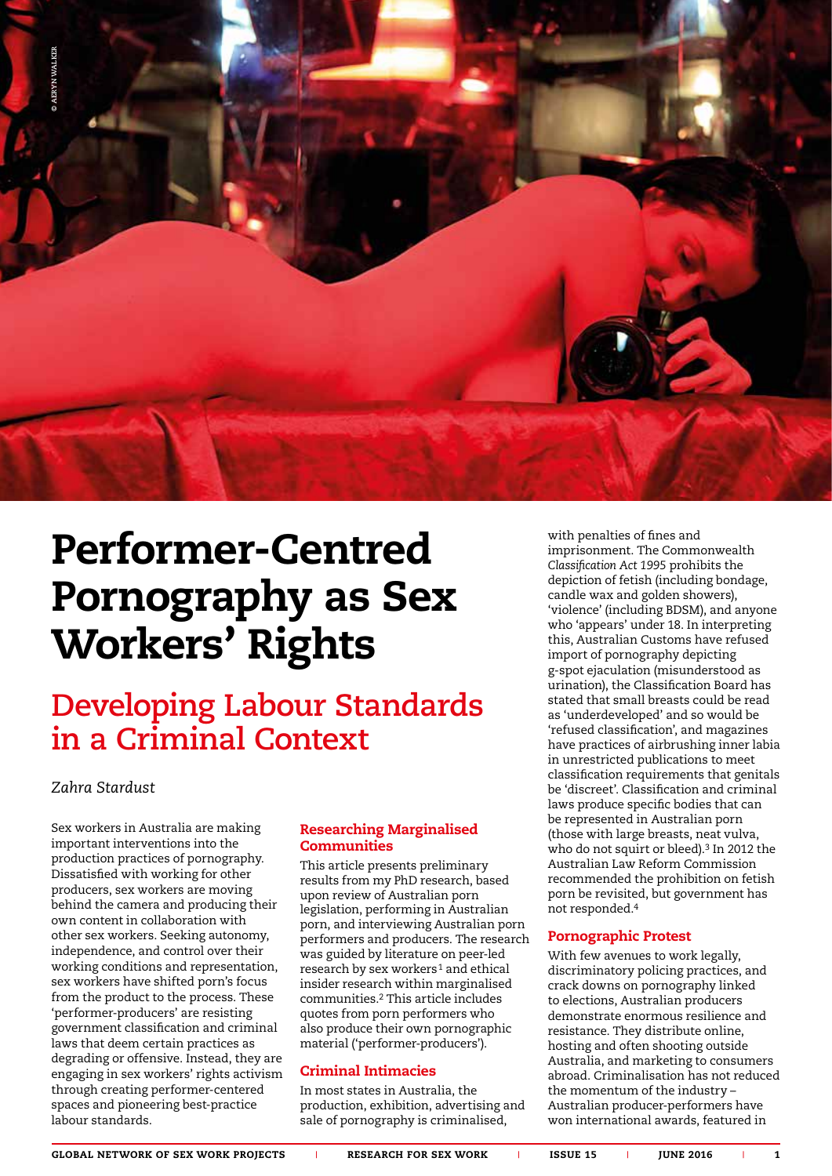

# Performer-Centred Pornography as Sex Workers' Rights

## **Developing Labour Standards in a Criminal Context**

### Zahra Stardust

Sex workers in Australia are making important interventions into the production practices of pornography. Dissatisfied with working for other producers, sex workers are moving behind the camera and producing their own content in collaboration with other sex workers. Seeking autonomy, independence, and control over their working conditions and representation, sex workers have shifted porn's focus from the product to the process. These 'performer-producers' are resisting government classification and criminal laws that deem certain practices as degrading or offensive. Instead, they are engaging in sex workers' rights activism through creating performer-centered spaces and pioneering best-practice labour standards.

### Researching Marginalised **Communities**

This article presents preliminary results from my PhD research, based upon review of Australian porn legislation, performing in Australian porn, and interviewing Australian porn performers and producers. The research was guided by literature on peer-led research by sex workers<sup>1</sup> and ethical insider research within marginalised communities.2 This article includes quotes from porn performers who also produce their own pornographic material ('performer-producers').

### Criminal Intimacies

In most states in Australia, the production, exhibition, advertising and sale of pornography is criminalised,

with penalties of fines and imprisonment. The Commonwealth *Classification Act 1995* prohibits the depiction of fetish (including bondage, candle wax and golden showers), 'violence' (including BDSM), and anyone who 'appears' under 18. In interpreting this, Australian Customs have refused import of pornography depicting g-spot ejaculation (misunderstood as urination), the Classification Board has stated that small breasts could be read as 'underdeveloped' and so would be 'refused classification', and magazines have practices of airbrushing inner labia in unrestricted publications to meet classification requirements that genitals be 'discreet'. Classification and criminal laws produce specific bodies that can be represented in Australian porn (those with large breasts, neat vulva, who do not squirt or bleed).<sup>3</sup> In 2012 the Australian Law Reform Commission recommended the prohibition on fetish porn be revisited, but government has not responded.4

### Pornographic Protest

With few avenues to work legally, discriminatory policing practices, and crack downs on pornography linked to elections, Australian producers demonstrate enormous resilience and resistance. They distribute online, hosting and often shooting outside Australia, and marketing to consumers abroad. Criminalisation has not reduced the momentum of the industry – Australian producer-performers have won international awards, featured in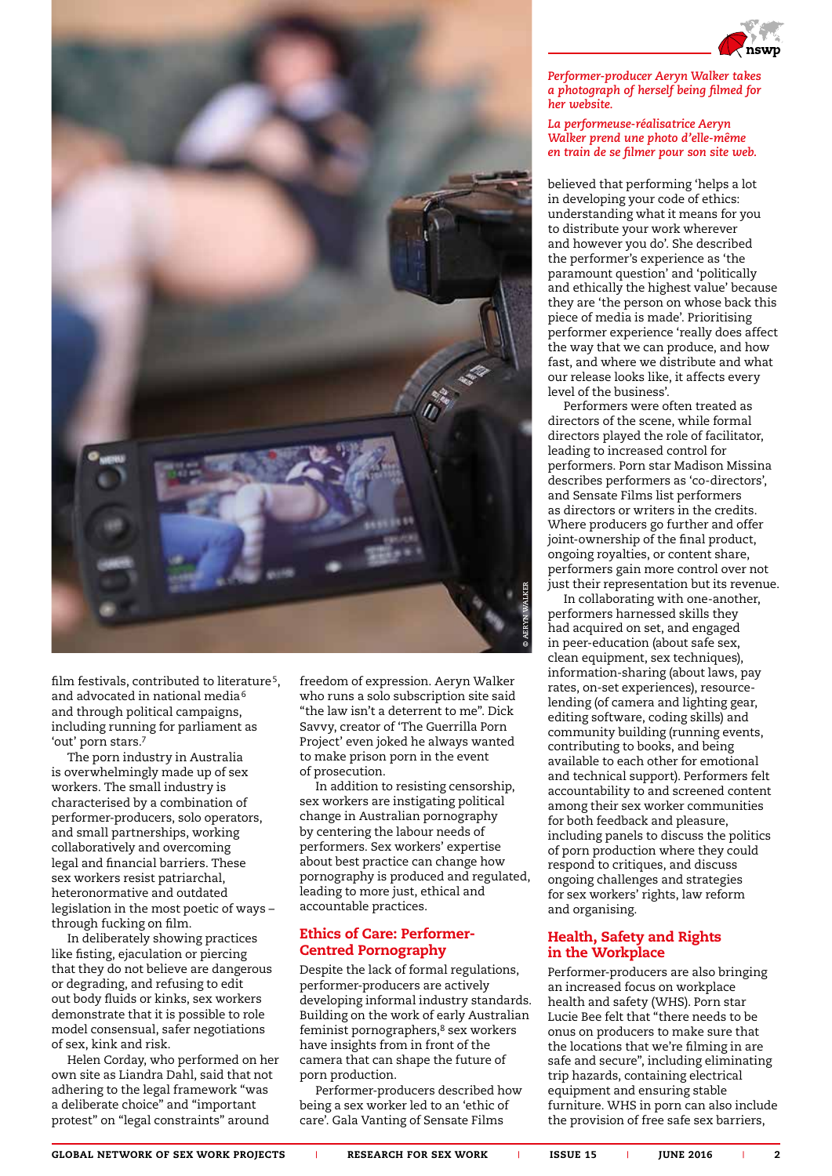

film festivals, contributed to literature<sup>5</sup>, and advocated in national media<sup>6</sup> and through political campaigns, including running for parliament as 'out' porn stars.7

The porn industry in Australia is overwhelmingly made up of sex workers. The small industry is characterised by a combination of performer-producers, solo operators, and small partnerships, working collaboratively and overcoming legal and financial barriers. These sex workers resist patriarchal, heteronormative and outdated legislation in the most poetic of ways – through fucking on film.

In deliberately showing practices like fisting, ejaculation or piercing that they do not believe are dangerous or degrading, and refusing to edit out body fluids or kinks, sex workers demonstrate that it is possible to role model consensual, safer negotiations of sex, kink and risk.

Helen Corday, who performed on her own site as Liandra Dahl, said that not adhering to the legal framework "was a deliberate choice" and "important protest" on "legal constraints" around

freedom of expression. Aeryn Walker who runs a solo subscription site said "the law isn't a deterrent to me". Dick Savvy, creator of 'The Guerrilla Porn Project' even joked he always wanted to make prison porn in the event of prosecution.

In addition to resisting censorship, sex workers are instigating political change in Australian pornography by centering the labour needs of performers. Sex workers' expertise about best practice can change how pornography is produced and regulated, leading to more just, ethical and accountable practices.

### Ethics of Care: Performer-Centred Pornography

Despite the lack of formal regulations, performer-producers are actively developing informal industry standards. Building on the work of early Australian feminist pornographers,<sup>8</sup> sex workers have insights from in front of the camera that can shape the future of porn production.

Performer-producers described how being a sex worker led to an 'ethic of care'. Gala Vanting of Sensate Films



### *La performeuse-réalisatrice Aeryn Walker prend une photo d'elle-même en train de se filmer pour son site web.*

believed that performing 'helps a lot in developing your code of ethics: understanding what it means for you to distribute your work wherever and however you do'. She described the performer's experience as 'the paramount question' and 'politically and ethically the highest value' because they are 'the person on whose back this piece of media is made'. Prioritising performer experience 'really does affect the way that we can produce, and how fast, and where we distribute and what our release looks like, it affects every level of the business'.

Performers were often treated as directors of the scene, while formal directors played the role of facilitator, leading to increased control for performers. Porn star Madison Missina describes performers as 'co-directors', and Sensate Films list performers as directors or writers in the credits. Where producers go further and offer joint-ownership of the final product, ongoing royalties, or content share, performers gain more control over not just their representation but its revenue.

In collaborating with one-another, performers harnessed skills they had acquired on set, and engaged in peer-education (about safe sex, clean equipment, sex techniques), information-sharing (about laws, pay rates, on-set experiences), resourcelending (of camera and lighting gear, editing software, coding skills) and community building (running events, contributing to books, and being available to each other for emotional and technical support). Performers felt accountability to and screened content among their sex worker communities for both feedback and pleasure, including panels to discuss the politics of porn production where they could respond to critiques, and discuss ongoing challenges and strategies for sex workers' rights, law reform and organising.

### Health, Safety and Rights in the Workplace

Performer-producers are also bringing an increased focus on workplace health and safety (WHS). Porn star Lucie Bee felt that "there needs to be onus on producers to make sure that the locations that we're filming in are safe and secure", including eliminating trip hazards, containing electrical equipment and ensuring stable furniture. WHS in porn can also include the provision of free safe sex barriers,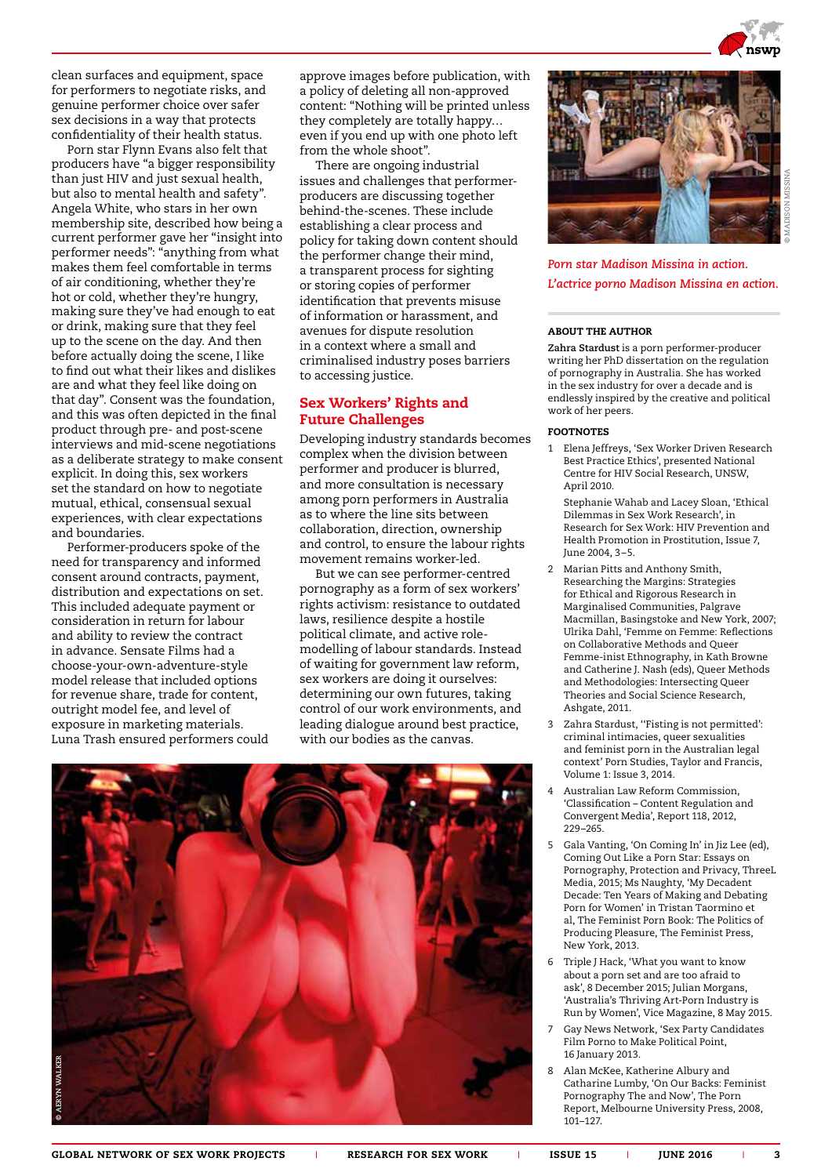

clean surfaces and equipment, space for performers to negotiate risks, and genuine performer choice over safer sex decisions in a way that protects confidentiality of their health status.

Porn star Flynn Evans also felt that producers have "a bigger responsibility than just HIV and just sexual health, but also to mental health and safety". Angela White, who stars in her own membership site, described how being a current performer gave her "insight into performer needs": "anything from what makes them feel comfortable in terms of air conditioning, whether they're hot or cold, whether they're hungry, making sure they've had enough to eat or drink, making sure that they feel up to the scene on the day. And then before actually doing the scene, I like to find out what their likes and dislikes are and what they feel like doing on that day". Consent was the foundation, and this was often depicted in the final product through pre- and post-scene interviews and mid-scene negotiations as a deliberate strategy to make consent explicit. In doing this, sex workers set the standard on how to negotiate mutual, ethical, consensual sexual experiences, with clear expectations and boundaries.

Performer-producers spoke of the need for transparency and informed consent around contracts, payment, distribution and expectations on set. This included adequate payment or consideration in return for labour and ability to review the contract in advance. Sensate Films had a choose-your-own-adventure-style model release that included options for revenue share, trade for content, outright model fee, and level of exposure in marketing materials. Luna Trash ensured performers could approve images before publication, with a policy of deleting all non-approved content: "Nothing will be printed unless they completely are totally happy… even if you end up with one photo left from the whole shoot".

There are ongoing industrial issues and challenges that performerproducers are discussing together behind-the-scenes. These include establishing a clear process and policy for taking down content should the performer change their mind, a transparent process for sighting or storing copies of performer identification that prevents misuse of information or harassment, and avenues for dispute resolution in a context where a small and criminalised industry poses barriers to accessing justice.

### Sex Workers' Rights and Future Challenges

Developing industry standards becomes complex when the division between performer and producer is blurred, and more consultation is necessary among porn performers in Australia as to where the line sits between collaboration, direction, ownership and control, to ensure the labour rights movement remains worker-led.

But we can see performer-centred pornography as a form of sex workers' rights activism: resistance to outdated laws, resilience despite a hostile political climate, and active rolemodelling of labour standards. Instead of waiting for government law reform, sex workers are doing it ourselves: determining our own futures, taking control of our work environments, and leading dialogue around best practice, with our bodies as the canvas.





*Porn star Madison Missina in action. L'actrice porno Madison Missina en action.*

#### ABOUT THE AUTHOR

**Zahra Stardust** is a porn performer-producer writing her PhD dissertation on the regulation of pornography in Australia. She has worked in the sex industry for over a decade and is endlessly inspired by the creative and political work of her peers.

#### FOOTNOTES

1 Elena Jeffreys, 'Sex Worker Driven Research Best Practice Ethics', presented National Centre for HIV Social Research, UNSW, April 2010.

Stephanie Wahab and Lacey Sloan, 'Ethical Dilemmas in Sex Work Research', in Research for Sex Work: HIV Prevention and Health Promotion in Prostitution, Issue 7, June 2004, 3–5.

- 2 Marian Pitts and Anthony Smith, Researching the Margins: Strategies for Ethical and Rigorous Research in Marginalised Communities, Palgrave Macmillan, Basingstoke and New York, 2007; Ulrika Dahl, 'Femme on Femme: Reflections on Collaborative Methods and Queer Femme-inist Ethnography, in Kath Browne and Catherine J. Nash (eds), Queer Methods and Methodologies: Intersecting Queer Theories and Social Science Research, Ashgate, 2011.
- 3 Zahra Stardust, ''Fisting is not permitted': criminal intimacies, queer sexualities and feminist porn in the Australian legal context' Porn Studies, Taylor and Francis, Volume 1: Issue 3, 2014.
- 4 Australian Law Reform Commission, 'Classification – Content Regulation and Convergent Media', Report 118, 2012, 229–265.
- 5 Gala Vanting, 'On Coming In' in Jiz Lee (ed), Coming Out Like a Porn Star: Essays on Pornography, Protection and Privacy, ThreeL Media, 2015; Ms Naughty, 'My Decadent Decade: Ten Years of Making and Debating Porn for Women' in Tristan Taormino et al, The Feminist Porn Book: The Politics of Producing Pleasure, The Feminist Press, New York, 2013.
- 6 Triple J Hack, 'What you want to know about a porn set and are too afraid to ask', 8 December 2015; Julian Morgans, 'Australia's Thriving Art-Porn Industry is Run by Women', Vice Magazine, 8 May 2015.
- 7 Gay News Network, 'Sex Party Candidates Film Porno to Make Political Point, 16 January 2013.
- 8 Alan McKee, Katherine Albury and Catharine Lumby, 'On Our Backs: Feminist Pornography The and Now', The Porn Report, Melbourne University Press, 2008, 101–127.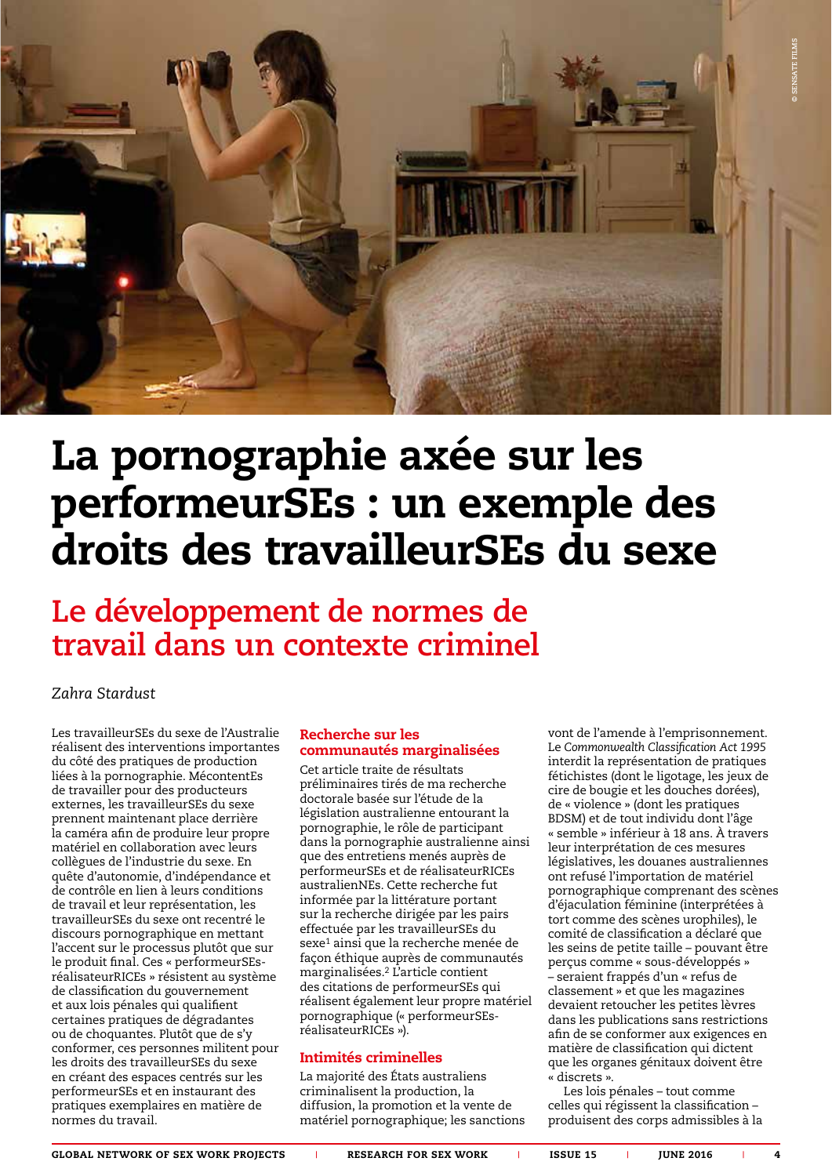

## La pornographie axée sur les performeurSEs : un exemple des droits des travailleurSEs du sexe

### **Le développement de normes de travail dans un contexte criminel**

*Zahra Stardust* 

Les travailleurSEs du sexe de l'Australie réalisent des interventions importantes du côté des pratiques de production liées à la pornographie. MécontentEs de travailler pour des producteurs externes, les travailleurSEs du sexe prennent maintenant place derrière la caméra afin de produire leur propre matériel en collaboration avec leurs collègues de l'industrie du sexe. En quête d'autonomie, d'indépendance et de contrôle en lien à leurs conditions de travail et leur représentation, les travailleurSEs du sexe ont recentré le discours pornographique en mettant l'accent sur le processus plutôt que sur le produit final. Ces « performeurSEsréalisateurRICEs » résistent au système de classification du gouvernement et aux lois pénales qui qualifient certaines pratiques de dégradantes ou de choquantes. Plutôt que de s'y conformer, ces personnes militent pour les droits des travailleurSEs du sexe en créant des espaces centrés sur les performeurSEs et en instaurant des pratiques exemplaires en matière de normes du travail.

### Recherche sur les communautés marginalisées

Cet article traite de résultats préliminaires tirés de ma recherche doctorale basée sur l'étude de la législation australienne entourant la pornographie, le rôle de participant dans la pornographie australienne ainsi que des entretiens menés auprès de performeurSEs et de réalisateurRICEs australienNEs. Cette recherche fut informée par la littérature portant sur la recherche dirigée par les pairs effectuée par les travailleurSEs du sexe<sup>1</sup> ainsi que la recherche menée de façon éthique auprès de communautés marginalisées.2 L'article contient des citations de performeurSEs qui réalisent également leur propre matériel pornographique (« performeurSEsréalisateurRICEs »).

### Intimités criminelles

La majorité des États australiens criminalisent la production, la diffusion, la promotion et la vente de matériel pornographique; les sanctions vont de l'amende à l'emprisonnement. Le *Commonwealth Classification Act 1995* interdit la représentation de pratiques fétichistes (dont le ligotage, les jeux de cire de bougie et les douches dorées), de « violence » (dont les pratiques BDSM) et de tout individu dont l'âge « semble » inférieur à 18 ans. À travers leur interprétation de ces mesures législatives, les douanes australiennes ont refusé l'importation de matériel pornographique comprenant des scènes d'éjaculation féminine (interprétées à tort comme des scènes urophiles), le comité de classification a déclaré que les seins de petite taille – pouvant être perçus comme « sous-développés » – seraient frappés d'un « refus de classement » et que les magazines devaient retoucher les petites lèvres dans les publications sans restrictions afin de se conformer aux exigences en matière de classification qui dictent que les organes génitaux doivent être « discrets ».

Les lois pénales – tout comme celles qui régissent la classification – produisent des corps admissibles à la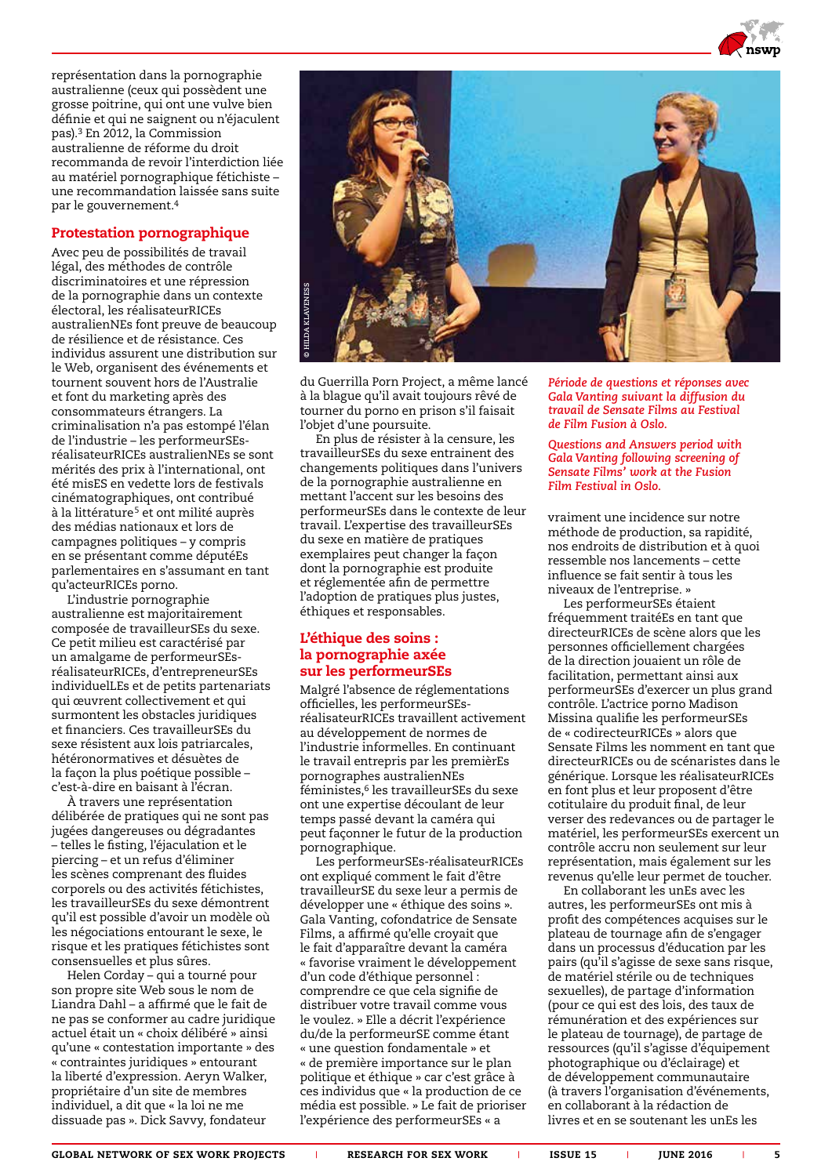

représentation dans la pornographie australienne (ceux qui possèdent une grosse poitrine, qui ont une vulve bien définie et qui ne saignent ou n'éjaculent pas).3 En 2012, la Commission australienne de réforme du droit recommanda de revoir l'interdiction liée au matériel pornographique fétichiste – une recommandation laissée sans suite par le gouvernement.4

### Protestation pornographique

Avec peu de possibilités de travail légal, des méthodes de contrôle discriminatoires et une répression de la pornographie dans un contexte électoral, les réalisateurRICEs australienNEs font preuve de beaucoup de résilience et de résistance. Ces individus assurent une distribution sur le Web, organisent des événements et tournent souvent hors de l'Australie et font du marketing après des consommateurs étrangers. La criminalisation n'a pas estompé l'élan de l'industrie – les performeurSEsréalisateurRICEs australienNEs se sont mérités des prix à l'international, ont été misES en vedette lors de festivals cinématographiques, ont contribué à la littérature<sup>5</sup> et ont milité auprès des médias nationaux et lors de campagnes politiques – y compris en se présentant comme députéEs parlementaires en s'assumant en tant qu'acteurRICEs porno.

L'industrie pornographie australienne est majoritairement composée de travailleurSEs du sexe. Ce petit milieu est caractérisé par un amalgame de performeurSEsréalisateurRICEs, d'entrepreneurSEs individuelLEs et de petits partenariats qui œuvrent collectivement et qui surmontent les obstacles juridiques et financiers. Ces travailleurSEs du sexe résistent aux lois patriarcales, hétéronormatives et désuètes de la façon la plus poétique possible – c'est-à-dire en baisant à l'écran.

À travers une représentation délibérée de pratiques qui ne sont pas jugées dangereuses ou dégradantes – telles le fisting, l'éjaculation et le piercing – et un refus d'éliminer les scènes comprenant des fluides corporels ou des activités fétichistes, les travailleurSEs du sexe démontrent qu'il est possible d'avoir un modèle où les négociations entourant le sexe, le risque et les pratiques fétichistes sont consensuelles et plus sûres.

Helen Corday – qui a tourné pour son propre site Web sous le nom de Liandra Dahl – a affirmé que le fait de ne pas se conformer au cadre juridique actuel était un « choix délibéré » ainsi qu'une « contestation importante » des « contraintes juridiques » entourant la liberté d'expression. Aeryn Walker, propriétaire d'un site de membres individuel, a dit que « la loi ne me dissuade pas ». Dick Savvy, fondateur



du Guerrilla Porn Project, a même lancé à la blague qu'il avait toujours rêvé de tourner du porno en prison s'il faisait l'objet d'une poursuite.

En plus de résister à la censure, les travailleurSEs du sexe entrainent des changements politiques dans l'univers de la pornographie australienne en mettant l'accent sur les besoins des performeurSEs dans le contexte de leur travail. L'expertise des travailleurSEs du sexe en matière de pratiques exemplaires peut changer la façon dont la pornographie est produite et réglementée afin de permettre l'adoption de pratiques plus justes, éthiques et responsables.

### L'éthique des soins : la pornographie axée sur les performeurSEs

Malgré l'absence de réglementations officielles, les performeurSEsréalisateurRICEs travaillent activement au développement de normes de l'industrie informelles. En continuant le travail entrepris par les premièrEs pornographes australienNEs féministes,<sup>6</sup> les travailleurSEs du sexe ont une expertise découlant de leur temps passé devant la caméra qui peut façonner le futur de la production pornographique.

Les performeurSEs-réalisateurRICEs ont expliqué comment le fait d'être travailleurSE du sexe leur a permis de développer une « éthique des soins ». Gala Vanting, cofondatrice de Sensate Films, a affirmé qu'elle croyait que le fait d'apparaître devant la caméra « favorise vraiment le développement d'un code d'éthique personnel : comprendre ce que cela signifie de distribuer votre travail comme vous le voulez. » Elle a décrit l'expérience du/de la performeurSE comme étant « une question fondamentale » et « de première importance sur le plan politique et éthique » car c'est grâce à ces individus que « la production de ce média est possible. » Le fait de prioriser l'expérience des performeurSEs « a

*Période de questions et réponses avec Gala Vanting suivant la diffusion du travail de Sensate Films au Festival de Film Fusion à Oslo.*

*Questions and Answers period with Gala Vanting following screening of Sensate Films' work at the Fusion Film Festival in Oslo.*

vraiment une incidence sur notre méthode de production, sa rapidité, nos endroits de distribution et à quoi ressemble nos lancements – cette influence se fait sentir à tous les niveaux de l'entreprise. »

Les performeurSEs étaient fréquemment traitéEs en tant que directeurRICEs de scène alors que les personnes officiellement chargées de la direction jouaient un rôle de facilitation, permettant ainsi aux performeurSEs d'exercer un plus grand contrôle. L'actrice porno Madison Missina qualifie les performeurSEs de « codirecteurRICEs » alors que Sensate Films les nomment en tant que directeurRICEs ou de scénaristes dans le générique. Lorsque les réalisateurRICEs en font plus et leur proposent d'être cotitulaire du produit final, de leur verser des redevances ou de partager le matériel, les performeurSEs exercent un contrôle accru non seulement sur leur représentation, mais également sur les revenus qu'elle leur permet de toucher.

En collaborant les unEs avec les autres, les performeurSEs ont mis à profit des compétences acquises sur le plateau de tournage afin de s'engager dans un processus d'éducation par les pairs (qu'il s'agisse de sexe sans risque, de matériel stérile ou de techniques sexuelles), de partage d'information (pour ce qui est des lois, des taux de rémunération et des expériences sur le plateau de tournage), de partage de ressources (qu'il s'agisse d'équipement photographique ou d'éclairage) et de développement communautaire (à travers l'organisation d'événements, en collaborant à la rédaction de livres et en se soutenant les unEs les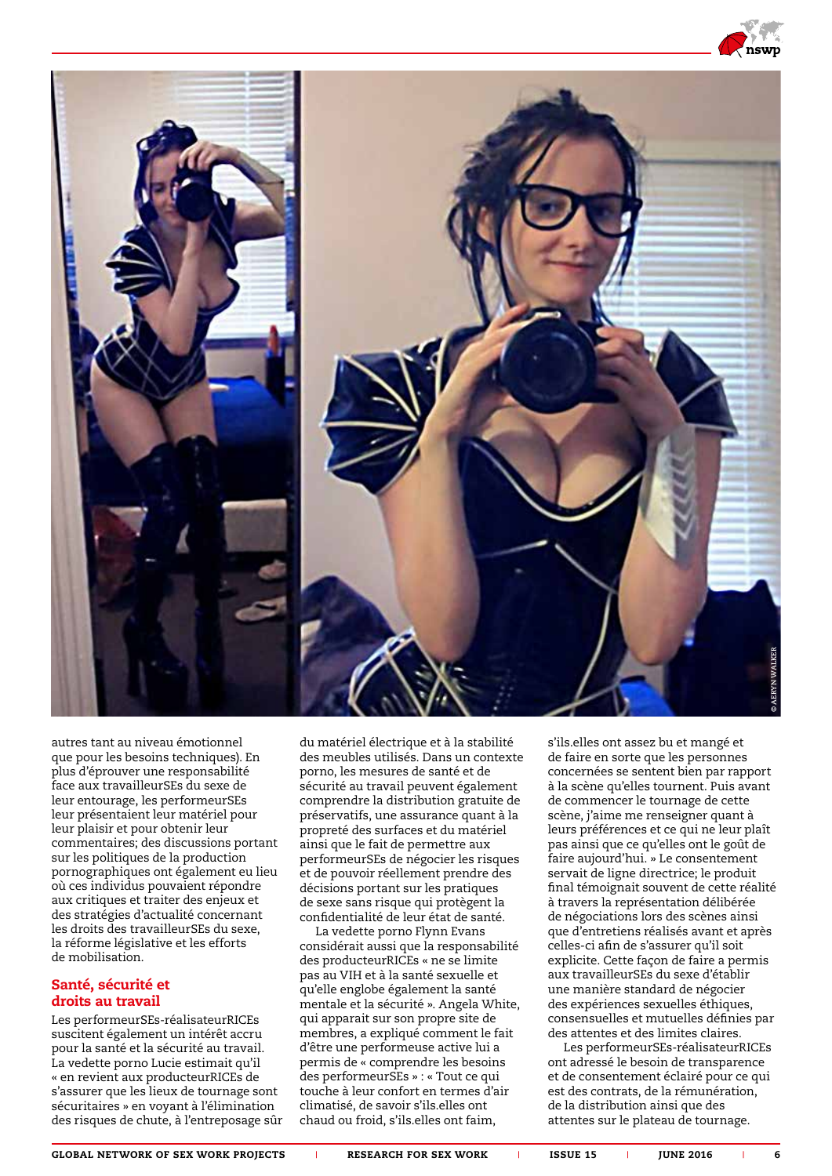

autres tant au niveau émotionnel que pour les besoins techniques). En plus d'éprouver une responsabilité face aux travailleurSEs du sexe de leur entourage, les performeurSEs leur présentaient leur matériel pour leur plaisir et pour obtenir leur commentaires; des discussions portant sur les politiques de la production pornographiques ont également eu lieu où ces individus pouvaient répondre aux critiques et traiter des enjeux et des stratégies d'actualité concernant les droits des travailleurSEs du sexe, la réforme législative et les efforts de mobilisation.

### Santé, sécurité et droits au travail

Les performeurSEs-réalisateurRICEs suscitent également un intérêt accru pour la santé et la sécurité au travail. La vedette porno Lucie estimait qu'il « en revient aux producteurRICEs de s'assurer que les lieux de tournage sont sécuritaires » en voyant à l'élimination des risques de chute, à l'entreposage sûr du matériel électrique et à la stabilité des meubles utilisés. Dans un contexte porno, les mesures de santé et de sécurité au travail peuvent également comprendre la distribution gratuite de préservatifs, une assurance quant à la propreté des surfaces et du matériel ainsi que le fait de permettre aux performeurSEs de négocier les risques et de pouvoir réellement prendre des décisions portant sur les pratiques de sexe sans risque qui protègent la confidentialité de leur état de santé.

La vedette porno Flynn Evans considérait aussi que la responsabilité des producteurRICEs « ne se limite pas au VIH et à la santé sexuelle et qu'elle englobe également la santé mentale et la sécurité ». Angela White, qui apparait sur son propre site de membres, a expliqué comment le fait d'être une performeuse active lui a permis de « comprendre les besoins des performeurSEs » : « Tout ce qui touche à leur confort en termes d'air climatisé, de savoir s'ils.elles ont chaud ou froid, s'ils.elles ont faim,

s'ils.elles ont assez bu et mangé et de faire en sorte que les personnes concernées se sentent bien par rapport à la scène qu'elles tournent. Puis avant de commencer le tournage de cette scène, j'aime me renseigner quant à leurs préférences et ce qui ne leur plaît pas ainsi que ce qu'elles ont le goût de faire aujourd'hui. » Le consentement servait de ligne directrice; le produit final témoignait souvent de cette réalité à travers la représentation délibérée de négociations lors des scènes ainsi que d'entretiens réalisés avant et après celles-ci afin de s'assurer qu'il soit explicite. Cette façon de faire a permis aux travailleurSEs du sexe d'établir une manière standard de négocier des expériences sexuelles éthiques, consensuelles et mutuelles définies par des attentes et des limites claires.

Les performeurSEs-réalisateurRICEs ont adressé le besoin de transparence et de consentement éclairé pour ce qui est des contrats, de la rémunération, de la distribution ainsi que des attentes sur le plateau de tournage.